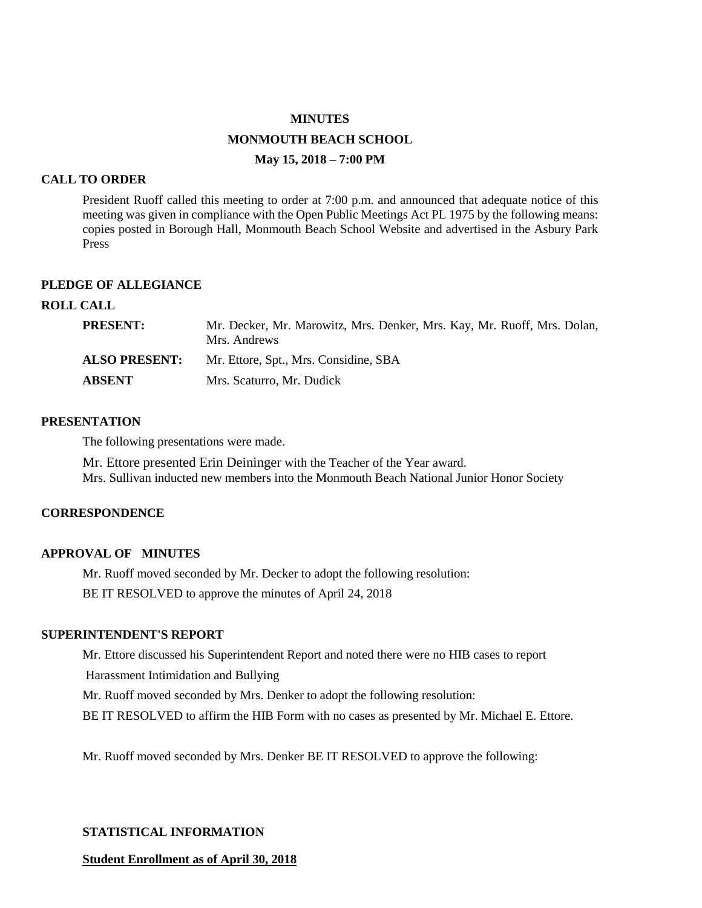# **MINUTES MONMOUTH BEACH SCHOOL May 15, 2018 – 7:00 PM**

#### **CALL TO ORDER**

President Ruoff called this meeting to order at 7:00 p.m. and announced that adequate notice of this meeting was given in compliance with the Open Public Meetings Act PL 1975 by the following means: copies posted in Borough Hall, Monmouth Beach School Website and advertised in the Asbury Park Press

## **PLEDGE OF ALLEGIANCE**

## **ROLL CALL**

| PRESENT:             | Mr. Decker, Mr. Marowitz, Mrs. Denker, Mrs. Kay, Mr. Ruoff, Mrs. Dolan,<br>Mrs. Andrews |
|----------------------|-----------------------------------------------------------------------------------------|
| <b>ALSO PRESENT:</b> | Mr. Ettore, Spt., Mrs. Considine, SBA                                                   |
| ABSENT               | Mrs. Scaturro, Mr. Dudick                                                               |

#### **PRESENTATION**

The following presentations were made.

Mr. Ettore presented Erin Deininger with the Teacher of the Year award. Mrs. Sullivan inducted new members into the Monmouth Beach National Junior Honor Society

#### **CORRESPONDENCE**

#### **APPROVAL OF MINUTES**

Mr. Ruoff moved seconded by Mr. Decker to adopt the following resolution: BE IT RESOLVED to approve the minutes of April 24, 2018

#### **SUPERINTENDENT'S REPORT**

Mr. Ettore discussed his Superintendent Report and noted there were no HIB cases to report

Harassment Intimidation and Bullying

Mr. Ruoff moved seconded by Mrs. Denker to adopt the following resolution:

BE IT RESOLVED to affirm the HIB Form with no cases as presented by Mr. Michael E. Ettore.

Mr. Ruoff moved seconded by Mrs. Denker BE IT RESOLVED to approve the following:

#### **STATISTICAL INFORMATION**

#### **Student Enrollment as of April 30, 2018**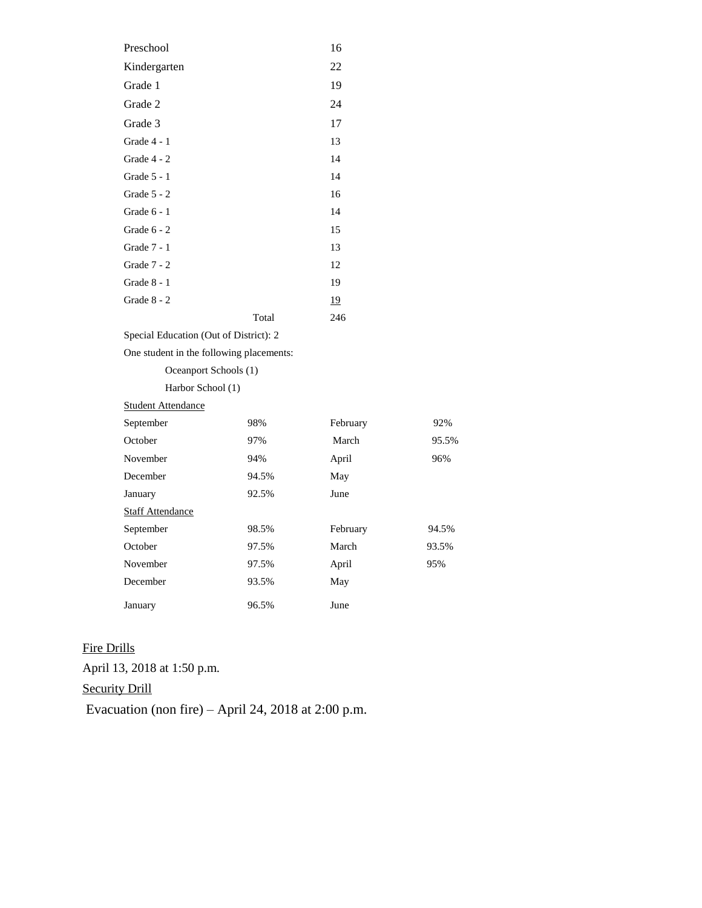| Preschool     |       | 16        |
|---------------|-------|-----------|
| Kindergarten  |       | 22        |
| Grade 1       |       | 19        |
| Grade 2       |       | 24        |
| Grade 3       |       | 17        |
| Grade 4 - 1   |       | 13        |
| Grade 4 - 2   |       | 14        |
| Grade 5 - 1   |       | 14        |
| Grade 5 - 2   |       | 16        |
| Grade $6 - 1$ |       | 14        |
| Grade 6 - 2   |       | 15        |
| Grade 7 - 1   |       | 13        |
| Grade 7 - 2   |       | 12        |
| Grade 8 - 1   |       | 19        |
| Grade 8 - 2   |       | <u>19</u> |
|               | Total | 246       |
|               |       |           |

Special Education (Out of District): 2

One student in the following placements:

Oceanport Schools (1)

Harbor School (1)

| <b>Student Attendance</b> |       |          |       |
|---------------------------|-------|----------|-------|
| September                 | 98%   | February | 92%   |
| October                   | 97%   | March    | 95.5% |
| November                  | 94%   | April    | 96%   |
| December                  | 94.5% | May      |       |
| January                   | 92.5% | June     |       |
| <b>Staff Attendance</b>   |       |          |       |
| September                 | 98.5% | February | 94.5% |
| October                   | 97.5% | March    | 93.5% |
| November                  | 97.5% | April    | 95%   |
| December                  | 93.5% | May      |       |
| January                   | 96.5% | June     |       |

Fire Drills April 13, 2018 at 1:50 p.m. Security Drill Evacuation (non fire) – April 24, 2018 at 2:00 p.m.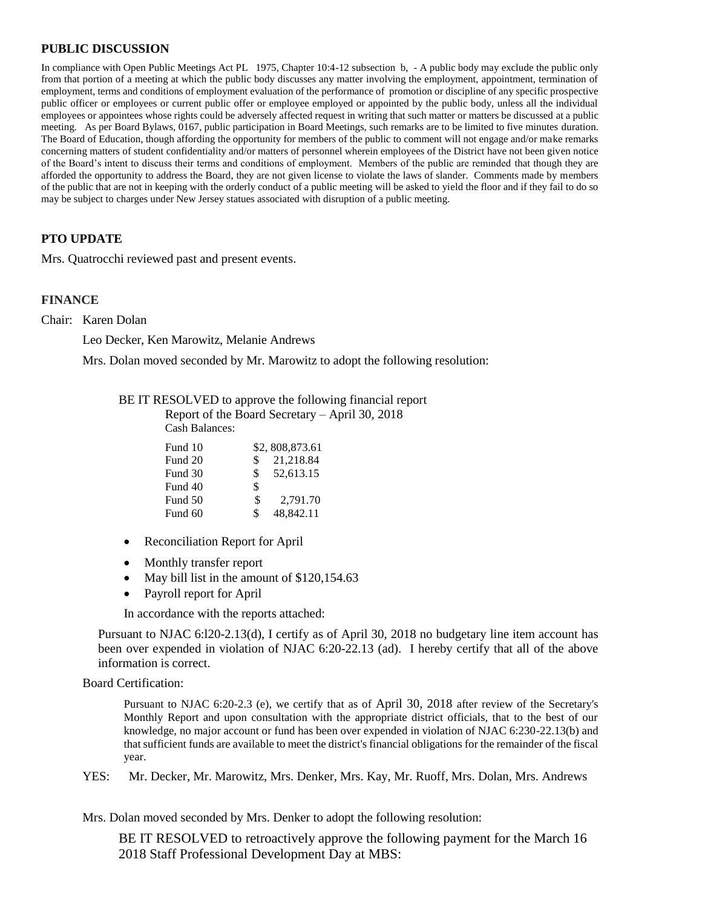# **PUBLIC DISCUSSION**

In compliance with Open Public Meetings Act PL 1975, Chapter 10:4-12 subsection b, - A public body may exclude the public only from that portion of a meeting at which the public body discusses any matter involving the employment, appointment, termination of employment, terms and conditions of employment evaluation of the performance of promotion or discipline of any specific prospective public officer or employees or current public offer or employee employed or appointed by the public body, unless all the individual employees or appointees whose rights could be adversely affected request in writing that such matter or matters be discussed at a public meeting. As per Board Bylaws, 0167, public participation in Board Meetings, such remarks are to be limited to five minutes duration. The Board of Education, though affording the opportunity for members of the public to comment will not engage and/or make remarks concerning matters of student confidentiality and/or matters of personnel wherein employees of the District have not been given notice of the Board's intent to discuss their terms and conditions of employment. Members of the public are reminded that though they are afforded the opportunity to address the Board, they are not given license to violate the laws of slander. Comments made by members of the public that are not in keeping with the orderly conduct of a public meeting will be asked to yield the floor and if they fail to do so may be subject to charges under New Jersey statues associated with disruption of a public meeting.

# **PTO UPDATE**

Mrs. Quatrocchi reviewed past and present events.

#### **FINANCE**

Chair: Karen Dolan

Leo Decker, Ken Marowitz, Melanie Andrews

Mrs. Dolan moved seconded by Mr. Marowitz to adopt the following resolution:

| BE IT RESOLVED to approve the following financial report |  |  |  |  |
|----------------------------------------------------------|--|--|--|--|
|                                                          |  |  |  |  |

Report of the Board Secretary – April 30, 2018 Cash Balances:

| Fund 10 |     | \$2,808,873.61 |
|---------|-----|----------------|
| Fund 20 | \$  | 21,218.84      |
| Fund 30 | \$  | 52,613.15      |
| Fund 40 | \$  |                |
| Fund 50 | \$  | 2.791.70       |
| Fund 60 | \$. | 48,842.11      |

- Reconciliation Report for April
- Monthly transfer report
- May bill list in the amount of \$120,154.63
- Payroll report for April

In accordance with the reports attached:

Pursuant to NJAC 6:l20-2.13(d), I certify as of April 30, 2018 no budgetary line item account has been over expended in violation of NJAC 6:20-22.13 (ad). I hereby certify that all of the above information is correct.

Board Certification:

Pursuant to NJAC 6:20-2.3 (e), we certify that as of April 30, 2018 after review of the Secretary's Monthly Report and upon consultation with the appropriate district officials, that to the best of our knowledge, no major account or fund has been over expended in violation of NJAC 6:230-22.13(b) and that sufficient funds are available to meet the district's financial obligations for the remainder of the fiscal year.

YES:Mr. Decker, Mr. Marowitz, Mrs. Denker, Mrs. Kay, Mr. Ruoff, Mrs. Dolan, Mrs. Andrews

Mrs. Dolan moved seconded by Mrs. Denker to adopt the following resolution:

BE IT RESOLVED to retroactively approve the following payment for the March 16 2018 Staff Professional Development Day at MBS: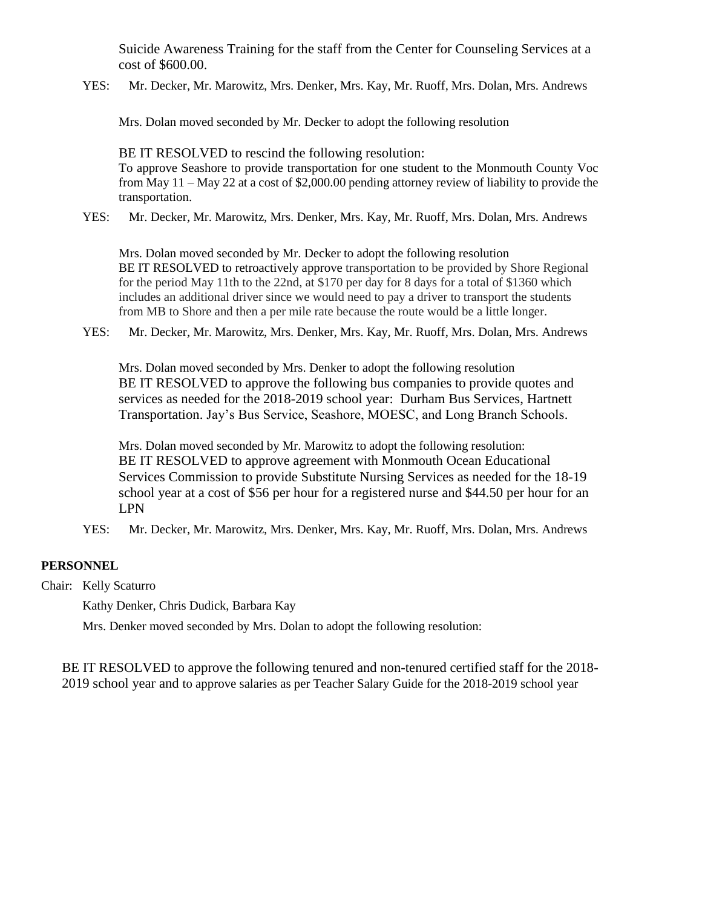Suicide Awareness Training for the staff from the Center for Counseling Services at a cost of \$600.00.

YES:Mr. Decker, Mr. Marowitz, Mrs. Denker, Mrs. Kay, Mr. Ruoff, Mrs. Dolan, Mrs. Andrews

Mrs. Dolan moved seconded by Mr. Decker to adopt the following resolution

BE IT RESOLVED to rescind the following resolution: To approve Seashore to provide transportation for one student to the Monmouth County Voc from May 11 – May 22 at a cost of \$2,000.00 pending attorney review of liability to provide the transportation.

YES:Mr. Decker, Mr. Marowitz, Mrs. Denker, Mrs. Kay, Mr. Ruoff, Mrs. Dolan, Mrs. Andrews

Mrs. Dolan moved seconded by Mr. Decker to adopt the following resolution BE IT RESOLVED to retroactively approve transportation to be provided by Shore Regional for the period May 11th to the 22nd, at \$170 per day for 8 days for a total of \$1360 which includes an additional driver since we would need to pay a driver to transport the students from MB to Shore and then a per mile rate because the route would be a little longer.

YES:Mr. Decker, Mr. Marowitz, Mrs. Denker, Mrs. Kay, Mr. Ruoff, Mrs. Dolan, Mrs. Andrews

Mrs. Dolan moved seconded by Mrs. Denker to adopt the following resolution BE IT RESOLVED to approve the following bus companies to provide quotes and services as needed for the 2018-2019 school year: Durham Bus Services, Hartnett Transportation. Jay's Bus Service, Seashore, MOESC, and Long Branch Schools.

Mrs. Dolan moved seconded by Mr. Marowitz to adopt the following resolution: BE IT RESOLVED to approve agreement with Monmouth Ocean Educational Services Commission to provide Substitute Nursing Services as needed for the 18-19 school year at a cost of \$56 per hour for a registered nurse and \$44.50 per hour for an LPN

YES:Mr. Decker, Mr. Marowitz, Mrs. Denker, Mrs. Kay, Mr. Ruoff, Mrs. Dolan, Mrs. Andrews

# **PERSONNEL**

Chair: Kelly Scaturro

Kathy Denker, Chris Dudick, Barbara Kay

Mrs. Denker moved seconded by Mrs. Dolan to adopt the following resolution:

BE IT RESOLVED to approve the following tenured and non-tenured certified staff for the 2018- 2019 school year and to approve salaries as per Teacher Salary Guide for the 2018-2019 school year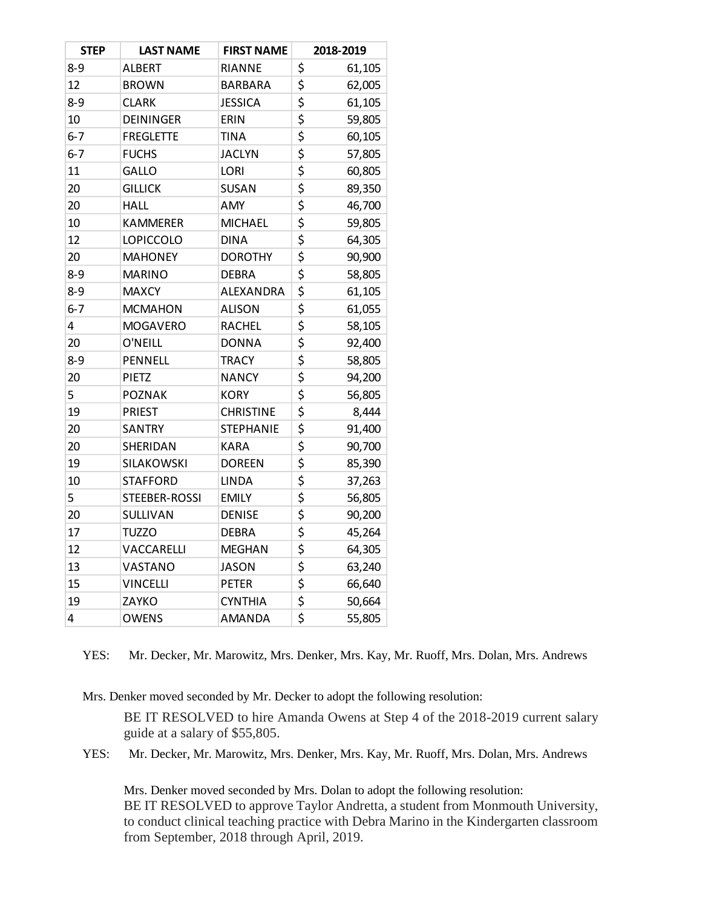| <b>STEP</b> | <b>LAST NAME</b> | <b>FIRST NAME</b> |                                 | 2018-2019 |
|-------------|------------------|-------------------|---------------------------------|-----------|
| $8 - 9$     | <b>ALBERT</b>    | RIANNE            | \$                              | 61,105    |
| 12          | <b>BROWN</b>     | <b>BARBARA</b>    | \$                              | 62,005    |
| $8 - 9$     | <b>CLARK</b>     | <b>JESSICA</b>    | \$                              | 61,105    |
| 10          | <b>DEININGER</b> | ERIN              | \$                              | 59,805    |
| $6 - 7$     | <b>FREGLETTE</b> | <b>TINA</b>       | \$                              | 60,105    |
| $6 - 7$     | <b>FUCHS</b>     | <b>JACLYN</b>     | \$                              | 57,805    |
| 11          | GALLO            | <b>LORI</b>       | \$                              | 60,805    |
| 20          | <b>GILLICK</b>   | <b>SUSAN</b>      | \$                              | 89,350    |
| 20          | <b>HALL</b>      | <b>AMY</b>        | \$                              | 46,700    |
| 10          | <b>KAMMERER</b>  | <b>MICHAEL</b>    | \$                              | 59,805    |
| 12          | <b>LOPICCOLO</b> | <b>DINA</b>       | \$                              | 64,305    |
| 20          | <b>MAHONEY</b>   | <b>DOROTHY</b>    | \$                              | 90,900    |
| $8 - 9$     | <b>MARINO</b>    | <b>DEBRA</b>      | \$                              | 58,805    |
| $8 - 9$     | <b>MAXCY</b>     | ALEXANDRA         | \$                              | 61,105    |
| $6 - 7$     | <b>MCMAHON</b>   | <b>ALISON</b>     | \$                              | 61,055    |
| 4           | <b>MOGAVERO</b>  | <b>RACHEL</b>     | \$                              | 58,105    |
| 20          | O'NEILL          | <b>DONNA</b>      | \$                              | 92,400    |
| $8 - 9$     | PENNELL          | <b>TRACY</b>      | \$                              | 58,805    |
| 20          | PIETZ            | <b>NANCY</b>      | \$                              | 94,200    |
| 5           | <b>POZNAK</b>    | <b>KORY</b>       | \$                              | 56,805    |
| 19          | <b>PRIEST</b>    | <b>CHRISTINE</b>  | \$                              | 8,444     |
| 20          | <b>SANTRY</b>    | <b>STEPHANIE</b>  | \$                              | 91,400    |
| 20          | SHERIDAN         | <b>KARA</b>       | \$                              | 90,700    |
| 19          | SILAKOWSKI       | <b>DOREEN</b>     | \$                              | 85,390    |
| 10          | <b>STAFFORD</b>  | <b>LINDA</b>      | \$                              | 37,263    |
| 5           | STEEBER-ROSSI    | <b>EMILY</b>      | \$                              | 56,805    |
| 20          | <b>SULLIVAN</b>  | <b>DENISE</b>     | \$                              | 90,200    |
| 17          | <b>TUZZO</b>     | <b>DEBRA</b>      | \$                              | 45,264    |
| 12          | VACCARELLI       | <b>MEGHAN</b>     | \$                              | 64,305    |
| 13          | VASTANO          | <b>JASON</b>      | \$                              | 63,240    |
| 15          | <b>VINCELLI</b>  | <b>PETER</b>      | \$                              | 66,640    |
| 19          | ZAYKO            | <b>CYNTHIA</b>    | \$                              | 50,664    |
| 4           | <b>OWENS</b>     | <b>AMANDA</b>     | $\overline{\boldsymbol{\zeta}}$ | 55,805    |

YES:Mr. Decker, Mr. Marowitz, Mrs. Denker, Mrs. Kay, Mr. Ruoff, Mrs. Dolan, Mrs. Andrews

Mrs. Denker moved seconded by Mr. Decker to adopt the following resolution:

BE IT RESOLVED to hire Amanda Owens at Step 4 of the 2018-2019 current salary guide at a salary of \$55,805.

YES:Mr. Decker, Mr. Marowitz, Mrs. Denker, Mrs. Kay, Mr. Ruoff, Mrs. Dolan, Mrs. Andrews

Mrs. Denker moved seconded by Mrs. Dolan to adopt the following resolution: BE IT RESOLVED to approve Taylor Andretta, a student from Monmouth University, to conduct clinical teaching practice with Debra Marino in the Kindergarten classroom from September, 2018 through April, 2019.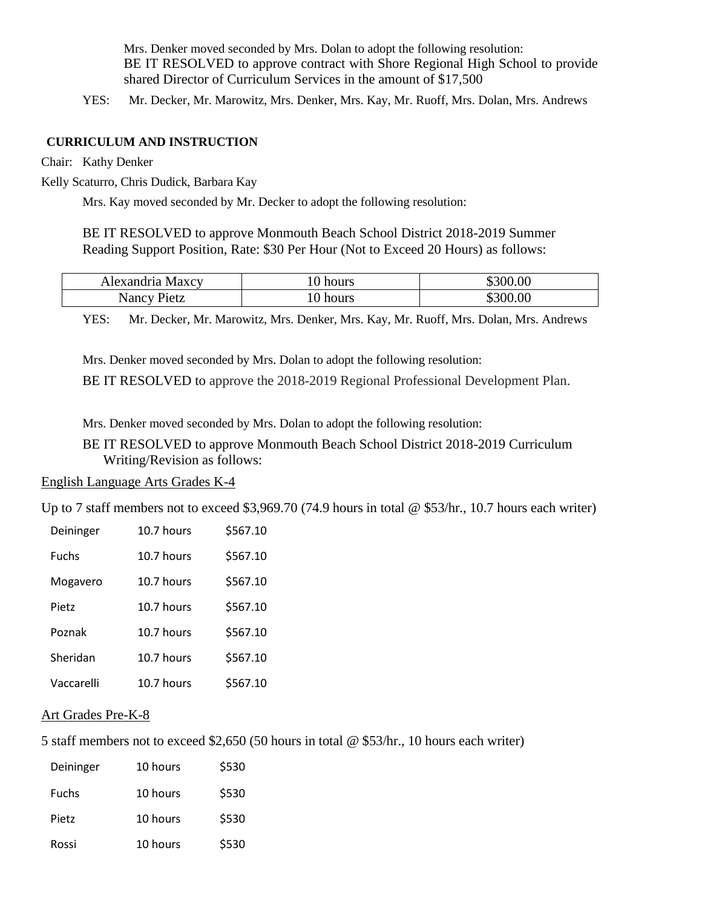Mrs. Denker moved seconded by Mrs. Dolan to adopt the following resolution: BE IT RESOLVED to approve contract with Shore Regional High School to provide shared Director of Curriculum Services in the amount of \$17,500

YES:Mr. Decker, Mr. Marowitz, Mrs. Denker, Mrs. Kay, Mr. Ruoff, Mrs. Dolan, Mrs. Andrews

# **CURRICULUM AND INSTRUCTION**

Chair: Kathy Denker

Kelly Scaturro, Chris Dudick, Barbara Kay

Mrs. Kay moved seconded by Mr. Decker to adopt the following resolution:

BE IT RESOLVED to approve Monmouth Beach School District 2018-2019 Summer Reading Support Position, Rate: \$30 Per Hour (Not to Exceed 20 Hours) as follows:

| Alexandria Maxcy | t0 hours | \$300.00 |
|------------------|----------|----------|
| Nancy Pietz      | hours    | 300.00   |

YES:Mr. Decker, Mr. Marowitz, Mrs. Denker, Mrs. Kay, Mr. Ruoff, Mrs. Dolan, Mrs. Andrews

Mrs. Denker moved seconded by Mrs. Dolan to adopt the following resolution: BE IT RESOLVED to approve the 2018-2019 Regional Professional Development Plan.

Mrs. Denker moved seconded by Mrs. Dolan to adopt the following resolution:

 BE IT RESOLVED to approve Monmouth Beach School District 2018-2019 Curriculum Writing/Revision as follows:

# English Language Arts Grades K-4

Up to 7 staff members not to exceed \$3,969.70 (74.9 hours in total @ \$53/hr., 10.7 hours each writer)

| Deininger    | 10.7 hours | \$567.10 |
|--------------|------------|----------|
| <b>Fuchs</b> | 10.7 hours | \$567.10 |
| Mogavero     | 10.7 hours | \$567.10 |
| <b>Pietz</b> | 10.7 hours | \$567.10 |
| Poznak       | 10.7 hours | \$567.10 |
| Sheridan     | 10.7 hours | \$567.10 |
| Vaccarelli   | 10.7 hours | \$567.10 |

# Art Grades Pre-K-8

5 staff members not to exceed \$2,650 (50 hours in total @ \$53/hr., 10 hours each writer)

| Deininger    | 10 hours | \$530 |
|--------------|----------|-------|
| <b>Fuchs</b> | 10 hours | \$530 |
| Pietz        | 10 hours | \$530 |
| Rossi        | 10 hours | \$530 |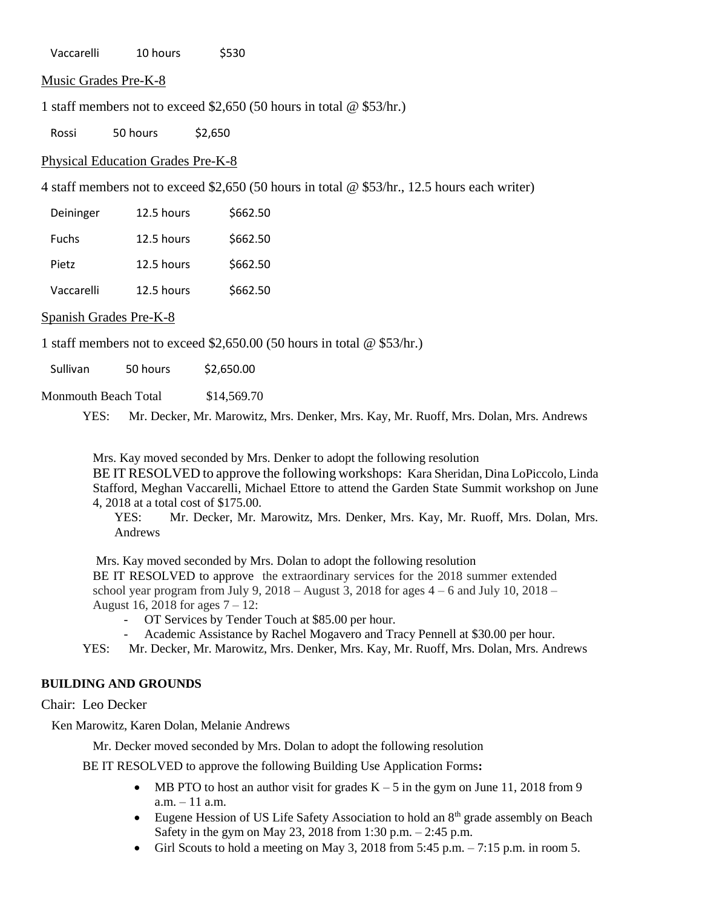Vaccarelli 10 hours \$530

Music Grades Pre-K-8

1 staff members not to exceed \$2,650 (50 hours in total @ \$53/hr.)

Rossi 50 hours \$2,650

Physical Education Grades Pre-K-8

4 staff members not to exceed \$2,650 (50 hours in total @ \$53/hr., 12.5 hours each writer)

| Deininger    | 12.5 hours | \$662.50 |
|--------------|------------|----------|
| <b>Fuchs</b> | 12.5 hours | \$662.50 |
| Pietz        | 12.5 hours | \$662.50 |
| Vaccarelli   | 12.5 hours | \$662.50 |

#### Spanish Grades Pre-K-8

1 staff members not to exceed \$2,650.00 (50 hours in total @ \$53/hr.)

Sullivan 50 hours \$2,650.00

Monmouth Beach Total \$14,569.70

YES:Mr. Decker, Mr. Marowitz, Mrs. Denker, Mrs. Kay, Mr. Ruoff, Mrs. Dolan, Mrs. Andrews

Mrs. Kay moved seconded by Mrs. Denker to adopt the following resolution BE IT RESOLVED to approve the following workshops: Kara Sheridan, Dina LoPiccolo, Linda Stafford, Meghan Vaccarelli, Michael Ettore to attend the Garden State Summit workshop on June 4, 2018 at a total cost of \$175.00.

YES:Mr. Decker, Mr. Marowitz, Mrs. Denker, Mrs. Kay, Mr. Ruoff, Mrs. Dolan, Mrs. Andrews

Mrs. Kay moved seconded by Mrs. Dolan to adopt the following resolution BE IT RESOLVED to approve the extraordinary services for the 2018 summer extended school year program from July 9,  $2018 -$ August 3,  $2018$  for ages  $4 - 6$  and July 10,  $2018 -$ August 16, 2018 for ages 7 – 12:

- OT Services by Tender Touch at \$85.00 per hour.

Academic Assistance by Rachel Mogavero and Tracy Pennell at \$30.00 per hour.

YES:Mr. Decker, Mr. Marowitz, Mrs. Denker, Mrs. Kay, Mr. Ruoff, Mrs. Dolan, Mrs. Andrews

#### **BUILDING AND GROUNDS**

Chair: Leo Decker

Ken Marowitz, Karen Dolan, Melanie Andrews

Mr. Decker moved seconded by Mrs. Dolan to adopt the following resolution

BE IT RESOLVED to approve the following Building Use Application Forms**:** 

- MB PTO to host an author visit for grades  $K 5$  in the gym on June 11, 2018 from 9 a.m. – 11 a.m.
- Eugene Hession of US Life Safety Association to hold an  $8<sup>th</sup>$  grade assembly on Beach Safety in the gym on May 23, 2018 from 1:30 p.m. – 2:45 p.m.
- Girl Scouts to hold a meeting on May 3, 2018 from  $5:45$  p.m.  $-7:15$  p.m. in room 5.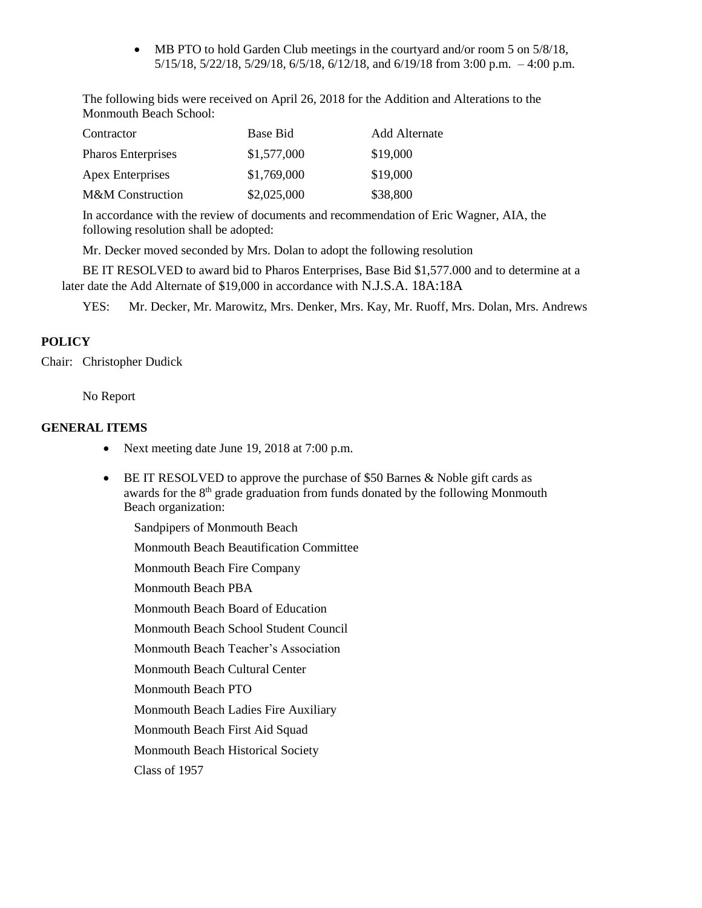• MB PTO to hold Garden Club meetings in the courtyard and/or room 5 on 5/8/18, 5/15/18, 5/22/18, 5/29/18, 6/5/18, 6/12/18, and 6/19/18 from 3:00 p.m. – 4:00 p.m.

The following bids were received on April 26, 2018 for the Addition and Alterations to the Monmouth Beach School:

| Contractor                  | Base Bid    | Add Alternate |
|-----------------------------|-------------|---------------|
| <b>Pharos Enterprises</b>   | \$1,577,000 | \$19,000      |
| <b>Apex Enterprises</b>     | \$1,769,000 | \$19,000      |
| <b>M&amp;M</b> Construction | \$2,025,000 | \$38,800      |

In accordance with the review of documents and recommendation of Eric Wagner, AIA, the following resolution shall be adopted:

Mr. Decker moved seconded by Mrs. Dolan to adopt the following resolution

BE IT RESOLVED to award bid to Pharos Enterprises, Base Bid \$1,577.000 and to determine at a later date the Add Alternate of \$19,000 in accordance with N.J.S.A. 18A:18A

YES:Mr. Decker, Mr. Marowitz, Mrs. Denker, Mrs. Kay, Mr. Ruoff, Mrs. Dolan, Mrs. Andrews

# **POLICY**

Chair: Christopher Dudick

No Report

# **GENERAL ITEMS**

- Next meeting date June 19, 2018 at 7:00 p.m.
- BE IT RESOLVED to approve the purchase of \$50 Barnes & Noble gift cards as awards for the  $8<sup>th</sup>$  grade graduation from funds donated by the following Monmouth Beach organization:
	- Sandpipers of Monmouth Beach Monmouth Beach Beautification Committee Monmouth Beach Fire Company Monmouth Beach PBA Monmouth Beach Board of Education Monmouth Beach School Student Council Monmouth Beach Teacher's Association Monmouth Beach Cultural Center Monmouth Beach PTO Monmouth Beach Ladies Fire Auxiliary Monmouth Beach First Aid Squad Monmouth Beach Historical Society Class of 1957